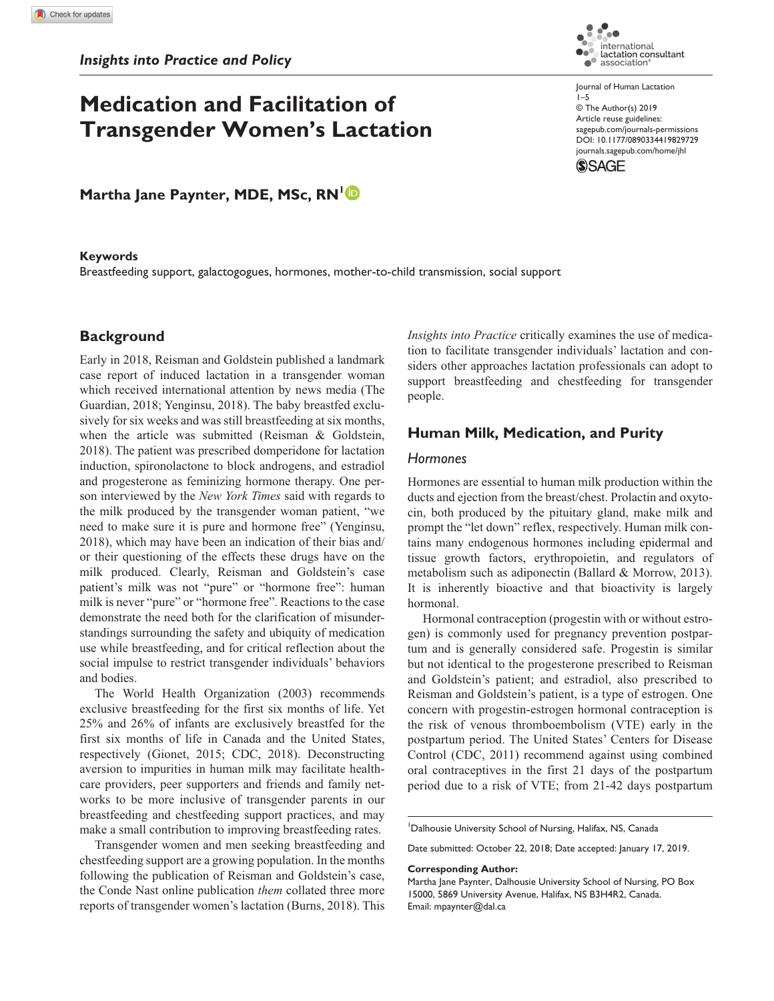# **Medication and Facilitation of Transgender Women's Lactation**

# **Martha Jane Paynter, MDE, MSc, RN**<sup>1</sup><sup>1</sup>

#### **Keywords**

Breastfeeding support, galactogogues, hormones, mother-to-child transmission, social support

# **Background**

Early in 2018, Reisman and Goldstein published a landmark case report of induced lactation in a transgender woman which received international attention by news media (The Guardian, 2018; Yenginsu, 2018). The baby breastfed exclusively for six weeks and was still breastfeeding at six months, when the article was submitted (Reisman & Goldstein, 2018). The patient was prescribed domperidone for lactation induction, spironolactone to block androgens, and estradiol and progesterone as feminizing hormone therapy. One person interviewed by the *New York Times* said with regards to the milk produced by the transgender woman patient, "we need to make sure it is pure and hormone free" (Yenginsu, 2018), which may have been an indication of their bias and/ or their questioning of the effects these drugs have on the milk produced. Clearly, Reisman and Goldstein's case patient's milk was not "pure" or "hormone free": human milk is never "pure" or "hormone free". Reactions to the case demonstrate the need both for the clarification of misunderstandings surrounding the safety and ubiquity of medication use while breastfeeding, and for critical reflection about the social impulse to restrict transgender individuals' behaviors and bodies.

The World Health Organization (2003) recommends exclusive breastfeeding for the first six months of life. Yet 25% and 26% of infants are exclusively breastfed for the first six months of life in Canada and the United States, respectively (Gionet, 2015; CDC, 2018). Deconstructing aversion to impurities in human milk may facilitate healthcare providers, peer supporters and friends and family networks to be more inclusive of transgender parents in our breastfeeding and chestfeeding support practices, and may make a small contribution to improving breastfeeding rates.

Transgender women and men seeking breastfeeding and chestfeeding support are a growing population. In the months following the publication of Reisman and Goldstein's case, the Conde Nast online publication *them* collated three more reports of transgender women's lactation (Burns, 2018). This *Insights into Practice* critically examines the use of medication to facilitate transgender individuals' lactation and considers other approaches lactation professionals can adopt to support breastfeeding and chestfeeding for transgender people.

# **Human Milk, Medication, and Purity**

#### *Hormones*

Hormones are essential to human milk production within the ducts and ejection from the breast/chest. Prolactin and oxytocin, both produced by the pituitary gland, make milk and prompt the "let down" reflex, respectively. Human milk contains many endogenous hormones including epidermal and tissue growth factors, erythropoietin, and regulators of metabolism such as adiponectin (Ballard & Morrow, 2013). It is inherently bioactive and that bioactivity is largely hormonal.

Hormonal contraception (progestin with or without estrogen) is commonly used for pregnancy prevention postpartum and is generally considered safe. Progestin is similar but not identical to the progesterone prescribed to Reisman and Goldstein's patient; and estradiol, also prescribed to Reisman and Goldstein's patient, is a type of estrogen. One concern with progestin-estrogen hormonal contraception is the risk of venous thromboembolism (VTE) early in the postpartum period. The United States' Centers for Disease Control (CDC, 2011) recommend against using combined oral contraceptives in the first 21 days of the postpartum period due to a risk of VTE; from 21-42 days postpartum

<sup>1</sup>Dalhousie University School of Nursing, Halifax, NS, Canada

Date submitted: October 22, 2018; Date accepted: January 17, 2019.

#### **Corresponding Author:**



Journal of Human Lactation 1–5 © The Author(s) 2019 Article reuse guidelines: [sagepub.com/journals-permissions](https://us.sagepub.com/en-us/journals-permissions) https://doi.org/10.1177/0890334419829729 DOI: 10.1177/0890334419829729 [journals.sagepub.com/home/jhl](https://journals.sagepub.com/home/jhl) **SSAGE** 

Martha Jane Paynter, Dalhousie University School of Nursing, PO Box 15000, 5869 University Avenue, Halifax, NS B3H4R2, Canada. Email: [mpaynter@dal.ca](mailto:mpaynter@dal.ca)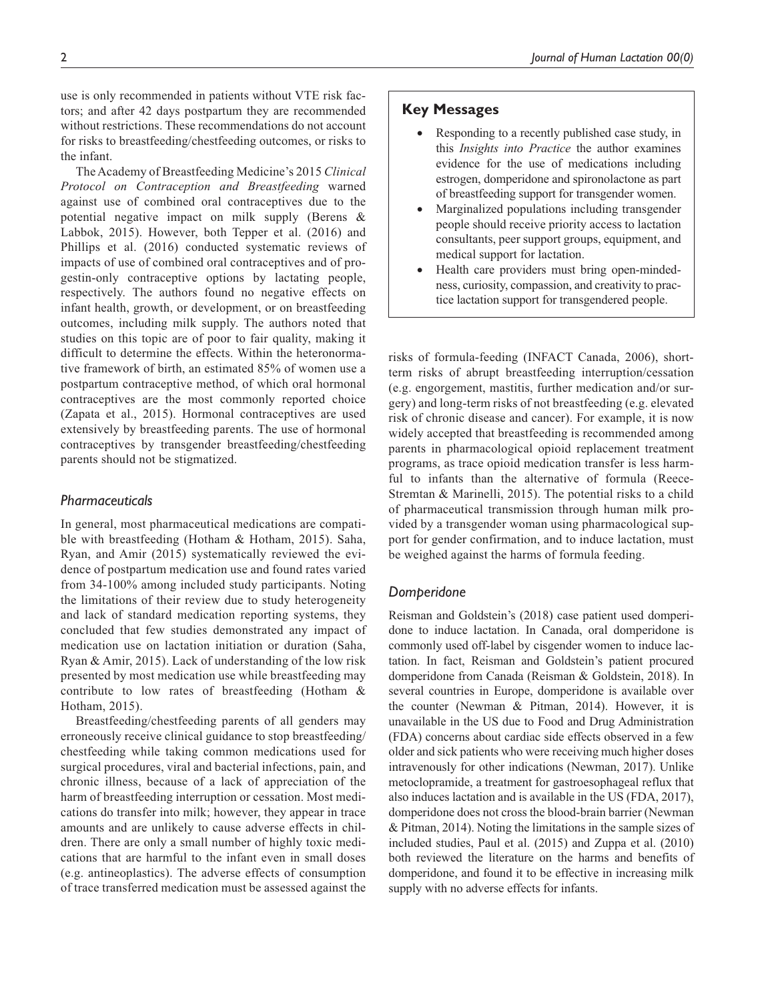use is only recommended in patients without VTE risk factors; and after 42 days postpartum they are recommended without restrictions. These recommendations do not account for risks to breastfeeding/chestfeeding outcomes, or risks to the infant.

The Academy of Breastfeeding Medicine's 2015 *Clinical Protocol on Contraception and Breastfeeding* warned against use of combined oral contraceptives due to the potential negative impact on milk supply (Berens & Labbok, 2015). However, both Tepper et al. (2016) and Phillips et al. (2016) conducted systematic reviews of impacts of use of combined oral contraceptives and of progestin-only contraceptive options by lactating people, respectively. The authors found no negative effects on infant health, growth, or development, or on breastfeeding outcomes, including milk supply. The authors noted that studies on this topic are of poor to fair quality, making it difficult to determine the effects. Within the heteronormative framework of birth, an estimated 85% of women use a postpartum contraceptive method, of which oral hormonal contraceptives are the most commonly reported choice (Zapata et al., 2015). Hormonal contraceptives are used extensively by breastfeeding parents. The use of hormonal contraceptives by transgender breastfeeding/chestfeeding parents should not be stigmatized.

### *Pharmaceuticals*

In general, most pharmaceutical medications are compatible with breastfeeding (Hotham & Hotham, 2015). Saha, Ryan, and Amir (2015) systematically reviewed the evidence of postpartum medication use and found rates varied from 34-100% among included study participants. Noting the limitations of their review due to study heterogeneity and lack of standard medication reporting systems, they concluded that few studies demonstrated any impact of medication use on lactation initiation or duration (Saha, Ryan & Amir, 2015). Lack of understanding of the low risk presented by most medication use while breastfeeding may contribute to low rates of breastfeeding (Hotham & Hotham, 2015).

Breastfeeding/chestfeeding parents of all genders may erroneously receive clinical guidance to stop breastfeeding/ chestfeeding while taking common medications used for surgical procedures, viral and bacterial infections, pain, and chronic illness, because of a lack of appreciation of the harm of breastfeeding interruption or cessation. Most medications do transfer into milk; however, they appear in trace amounts and are unlikely to cause adverse effects in children. There are only a small number of highly toxic medications that are harmful to the infant even in small doses (e.g. antineoplastics). The adverse effects of consumption of trace transferred medication must be assessed against the

# **Key Messages**

- Responding to a recently published case study, in this *Insights into Practice* the author examines evidence for the use of medications including estrogen, domperidone and spironolactone as part of breastfeeding support for transgender women.
- Marginalized populations including transgender people should receive priority access to lactation consultants, peer support groups, equipment, and medical support for lactation.
- Health care providers must bring open-mindedness, curiosity, compassion, and creativity to practice lactation support for transgendered people.

risks of formula-feeding (INFACT Canada, 2006), shortterm risks of abrupt breastfeeding interruption/cessation (e.g. engorgement, mastitis, further medication and/or surgery) and long-term risks of not breastfeeding (e.g. elevated risk of chronic disease and cancer). For example, it is now widely accepted that breastfeeding is recommended among parents in pharmacological opioid replacement treatment programs, as trace opioid medication transfer is less harmful to infants than the alternative of formula (Reece-Stremtan & Marinelli, 2015). The potential risks to a child of pharmaceutical transmission through human milk provided by a transgender woman using pharmacological support for gender confirmation, and to induce lactation, must be weighed against the harms of formula feeding.

#### *Domperidone*

Reisman and Goldstein's (2018) case patient used domperidone to induce lactation. In Canada, oral domperidone is commonly used off-label by cisgender women to induce lactation. In fact, Reisman and Goldstein's patient procured domperidone from Canada (Reisman & Goldstein, 2018). In several countries in Europe, domperidone is available over the counter (Newman & Pitman, 2014). However, it is unavailable in the US due to Food and Drug Administration (FDA) concerns about cardiac side effects observed in a few older and sick patients who were receiving much higher doses intravenously for other indications (Newman, 2017). Unlike metoclopramide, a treatment for gastroesophageal reflux that also induces lactation and is available in the US (FDA, 2017), domperidone does not cross the blood-brain barrier (Newman & Pitman, 2014). Noting the limitations in the sample sizes of included studies, Paul et al. (2015) and Zuppa et al. (2010) both reviewed the literature on the harms and benefits of domperidone, and found it to be effective in increasing milk supply with no adverse effects for infants.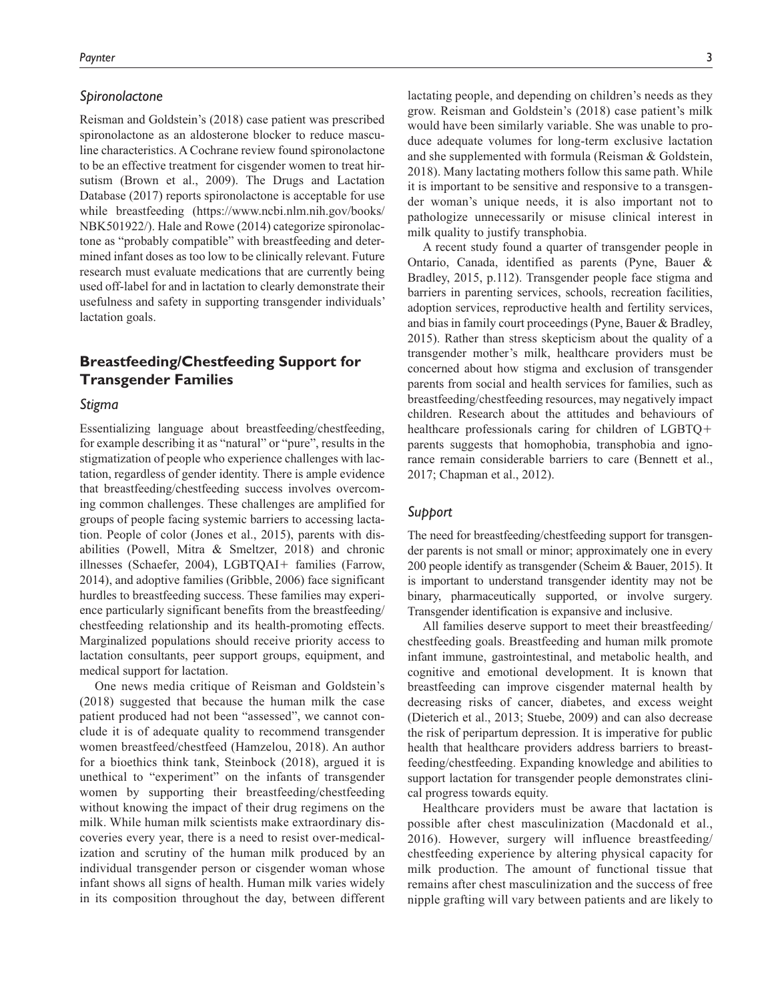# *Spironolactone*

Reisman and Goldstein's (2018) case patient was prescribed spironolactone as an aldosterone blocker to reduce masculine characteristics. A Cochrane review found spironolactone to be an effective treatment for cisgender women to treat hirsutism (Brown et al., 2009). The Drugs and Lactation Database (2017) reports spironolactone is acceptable for use while breastfeeding ([https://www.ncbi.nlm.nih.gov/books/](https://www.ncbi.nlm.nih.gov/books/NBK501922/) [NBK501922/\)](https://www.ncbi.nlm.nih.gov/books/NBK501922/). Hale and Rowe (2014) categorize spironolactone as "probably compatible" with breastfeeding and determined infant doses as too low to be clinically relevant. Future research must evaluate medications that are currently being used off-label for and in lactation to clearly demonstrate their usefulness and safety in supporting transgender individuals' lactation goals.

# **Breastfeeding/Chestfeeding Support for Transgender Families**

#### *Stigma*

Essentializing language about breastfeeding/chestfeeding, for example describing it as "natural" or "pure", results in the stigmatization of people who experience challenges with lactation, regardless of gender identity. There is ample evidence that breastfeeding/chestfeeding success involves overcoming common challenges. These challenges are amplified for groups of people facing systemic barriers to accessing lactation. People of color (Jones et al., 2015), parents with disabilities (Powell, Mitra & Smeltzer, 2018) and chronic illnesses (Schaefer, 2004), LGBTQAI+ families (Farrow, 2014), and adoptive families (Gribble, 2006) face significant hurdles to breastfeeding success. These families may experience particularly significant benefits from the breastfeeding/ chestfeeding relationship and its health-promoting effects. Marginalized populations should receive priority access to lactation consultants, peer support groups, equipment, and medical support for lactation.

One news media critique of Reisman and Goldstein's (2018) suggested that because the human milk the case patient produced had not been "assessed", we cannot conclude it is of adequate quality to recommend transgender women breastfeed/chestfeed (Hamzelou, 2018). An author for a bioethics think tank, Steinbock (2018), argued it is unethical to "experiment" on the infants of transgender women by supporting their breastfeeding/chestfeeding without knowing the impact of their drug regimens on the milk. While human milk scientists make extraordinary discoveries every year, there is a need to resist over-medicalization and scrutiny of the human milk produced by an individual transgender person or cisgender woman whose infant shows all signs of health. Human milk varies widely in its composition throughout the day, between different lactating people, and depending on children's needs as they grow. Reisman and Goldstein's (2018) case patient's milk would have been similarly variable. She was unable to produce adequate volumes for long-term exclusive lactation and she supplemented with formula (Reisman & Goldstein, 2018). Many lactating mothers follow this same path. While it is important to be sensitive and responsive to a transgender woman's unique needs, it is also important not to pathologize unnecessarily or misuse clinical interest in milk quality to justify transphobia.

A recent study found a quarter of transgender people in Ontario, Canada, identified as parents (Pyne, Bauer & Bradley, 2015, p.112). Transgender people face stigma and barriers in parenting services, schools, recreation facilities, adoption services, reproductive health and fertility services, and bias in family court proceedings (Pyne, Bauer & Bradley, 2015). Rather than stress skepticism about the quality of a transgender mother's milk, healthcare providers must be concerned about how stigma and exclusion of transgender parents from social and health services for families, such as breastfeeding/chestfeeding resources, may negatively impact children. Research about the attitudes and behaviours of healthcare professionals caring for children of LGBTQ+ parents suggests that homophobia, transphobia and ignorance remain considerable barriers to care (Bennett et al., 2017; Chapman et al., 2012).

#### *Support*

The need for breastfeeding/chestfeeding support for transgender parents is not small or minor; approximately one in every 200 people identify as transgender (Scheim & Bauer, 2015). It is important to understand transgender identity may not be binary, pharmaceutically supported, or involve surgery. Transgender identification is expansive and inclusive.

All families deserve support to meet their breastfeeding/ chestfeeding goals. Breastfeeding and human milk promote infant immune, gastrointestinal, and metabolic health, and cognitive and emotional development. It is known that breastfeeding can improve cisgender maternal health by decreasing risks of cancer, diabetes, and excess weight (Dieterich et al., 2013; Stuebe, 2009) and can also decrease the risk of peripartum depression. It is imperative for public health that healthcare providers address barriers to breastfeeding/chestfeeding. Expanding knowledge and abilities to support lactation for transgender people demonstrates clinical progress towards equity.

Healthcare providers must be aware that lactation is possible after chest masculinization (Macdonald et al., 2016). However, surgery will influence breastfeeding/ chestfeeding experience by altering physical capacity for milk production. The amount of functional tissue that remains after chest masculinization and the success of free nipple grafting will vary between patients and are likely to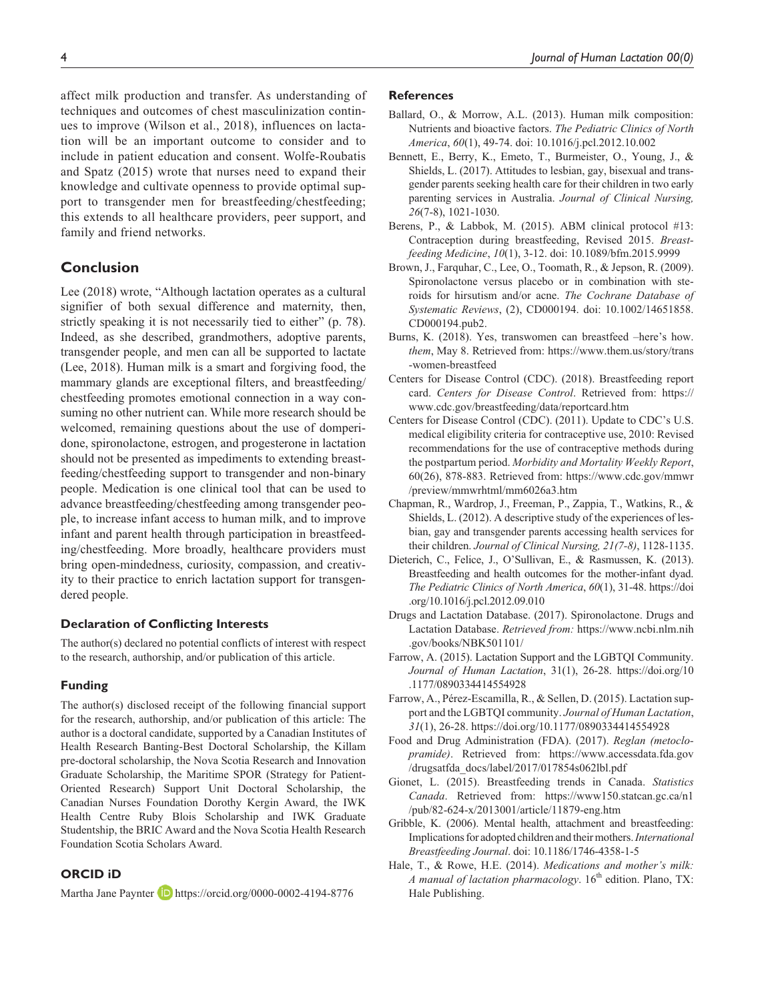affect milk production and transfer. As understanding of techniques and outcomes of chest masculinization continues to improve (Wilson et al., 2018), influences on lactation will be an important outcome to consider and to include in patient education and consent. Wolfe-Roubatis and Spatz (2015) wrote that nurses need to expand their knowledge and cultivate openness to provide optimal support to transgender men for breastfeeding/chestfeeding; this extends to all healthcare providers, peer support, and family and friend networks.

# **Conclusion**

Lee (2018) wrote, "Although lactation operates as a cultural signifier of both sexual difference and maternity, then, strictly speaking it is not necessarily tied to either" (p. 78). Indeed, as she described, grandmothers, adoptive parents, transgender people, and men can all be supported to lactate (Lee, 2018). Human milk is a smart and forgiving food, the mammary glands are exceptional filters, and breastfeeding/ chestfeeding promotes emotional connection in a way consuming no other nutrient can. While more research should be welcomed, remaining questions about the use of domperidone, spironolactone, estrogen, and progesterone in lactation should not be presented as impediments to extending breastfeeding/chestfeeding support to transgender and non-binary people. Medication is one clinical tool that can be used to advance breastfeeding/chestfeeding among transgender people, to increase infant access to human milk, and to improve infant and parent health through participation in breastfeeding/chestfeeding. More broadly, healthcare providers must bring open-mindedness, curiosity, compassion, and creativity to their practice to enrich lactation support for transgendered people.

#### **Declaration of Conflicting Interests**

The author(s) declared no potential conflicts of interest with respect to the research, authorship, and/or publication of this article.

#### **Funding**

The author(s) disclosed receipt of the following financial support for the research, authorship, and/or publication of this article: The author is a doctoral candidate, supported by a Canadian Institutes of Health Research Banting-Best Doctoral Scholarship, the Killam pre-doctoral scholarship, the Nova Scotia Research and Innovation Graduate Scholarship, the Maritime SPOR (Strategy for Patient-Oriented Research) Support Unit Doctoral Scholarship, the Canadian Nurses Foundation Dorothy Kergin Award, the IWK Health Centre Ruby Blois Scholarship and IWK Graduate Studentship, the BRIC Award and the Nova Scotia Health Research Foundation Scotia Scholars Award.

# **ORCID iD**

Martha Jane Paynter **D** <https://orcid.org/0000-0002-4194-8776>

#### **References**

- Ballard, O., & Morrow, A.L. (2013). Human milk composition: Nutrients and bioactive factors. *The Pediatric Clinics of North America*, *60*(1), 49-74. doi: 10.1016/j.pcl.2012.10.002
- Bennett, E., Berry, K., Emeto, T., Burmeister, O., Young, J., & Shields, L. (2017). Attitudes to lesbian, gay, bisexual and transgender parents seeking health care for their children in two early parenting services in Australia. *Journal of Clinical Nursing, 26*(7-8), 1021-1030.
- Berens, P., & Labbok, M. (2015). ABM clinical protocol #13: Contraception during breastfeeding, Revised 2015. *Breastfeeding Medicine*, *10*(1), 3-12. doi: 10.1089/bfm.2015.9999
- Brown, J., Farquhar, C., Lee, O., Toomath, R., & Jepson, R. (2009). Spironolactone versus placebo or in combination with steroids for hirsutism and/or acne. *The Cochrane Database of Systematic Reviews*, (2), CD000194. doi: 10.1002/14651858. CD000194.pub2.
- Burns, K. (2018). Yes, transwomen can breastfeed –here's how. *them*, May 8. Retrieved from: [https://www.them.us/story/trans](https://www.them.us/story/trans-women-breastfeed) [-women-breastfeed](https://www.them.us/story/trans-women-breastfeed)
- Centers for Disease Control (CDC). (2018). Breastfeeding report card. *Centers for Disease Control*. Retrieved from: [https://](https://www.cdc.gov/breastfeeding/data/reportcard.htm) [www.cdc.gov/breastfeeding/data/reportcard.htm](https://www.cdc.gov/breastfeeding/data/reportcard.htm)
- Centers for Disease Control (CDC). (2011). Update to CDC's U.S. medical eligibility criteria for contraceptive use, 2010: Revised recommendations for the use of contraceptive methods during the postpartum period. *Morbidity and Mortality Weekly Report*, 60(26), 878-883. Retrieved from: [https://www.cdc.gov/mmwr](https://www.cdc.gov/mmwr/preview/mmwrhtml/mm6026a3.htm) [/preview/mmwrhtml/mm6026a3.htm](https://www.cdc.gov/mmwr/preview/mmwrhtml/mm6026a3.htm)
- Chapman, R., Wardrop, J., Freeman, P., Zappia, T., Watkins, R., & Shields, L. (2012). A descriptive study of the experiences of lesbian, gay and transgender parents accessing health services for their children. *Journal of Clinical Nursing, 21(7-8)*, 1128-1135.
- Dieterich, C., Felice, J., O'Sullivan, E., & Rasmussen, K. (2013). Breastfeeding and health outcomes for the mother-infant dyad. *The Pediatric Clinics of North America*, *60*(1), 31-48. [https://doi](https://doi.org/10.1016/j.pcl.2012.09.010) [.org/10.1016/j.pcl.2012.09.010](https://doi.org/10.1016/j.pcl.2012.09.010)
- Drugs and Lactation Database. (2017). Spironolactone. Drugs and Lactation Database. *Retrieved from:* [https://www.ncbi.nlm.nih](https://www.ncbi.nlm.nih.gov/books/NBK501101/) [.gov/books/NBK501101/](https://www.ncbi.nlm.nih.gov/books/NBK501101/)
- Farrow, A. (2015). Lactation Support and the LGBTQI Community. *Journal of Human Lactation*, 31(1), 26-28. [https://doi.org/10](https://doi.org/10.1177/0890334414554928) [.1177/0890334414554928](https://doi.org/10.1177/0890334414554928)
- Farrow, A., Pérez-Escamilla, R., & Sellen, D. (2015). Lactation support and the LGBTQI community. *Journal of Human Lactation*, *31*(1), 26-28. <https://doi.org/10.1177/0890334414554928>
- Food and Drug Administration (FDA). (2017). *Reglan (metoclopramide)*. Retrieved from: [https://www.accessdata.fda.gov](https://www.accessdata.fda.gov/drugsatfda_docs/label/2017/017854s062lbl.pdf) [/drugsatfda\\_docs/label/2017/017854s062lbl.pdf](https://www.accessdata.fda.gov/drugsatfda_docs/label/2017/017854s062lbl.pdf)
- Gionet, L. (2015). Breastfeeding trends in Canada. *Statistics Canada*. Retrieved from: [https://www150.statcan.gc.ca/n1](https://www150.statcan.gc.ca/n1/pub/82-624-x/2013001/article/11879-eng.htm) [/pub/82-624-x/2013001/article/11879-eng.htm](https://www150.statcan.gc.ca/n1/pub/82-624-x/2013001/article/11879-eng.htm)
- Gribble, K. (2006). Mental health, attachment and breastfeeding: Implications for adopted children and their mothers. *International Breastfeeding Journal*. doi: 10.1186/1746-4358-1-5
- Hale, T., & Rowe, H.E. (2014). *Medications and mother's milk: A manual of lactation pharmacology*. 16<sup>th</sup> edition. Plano, TX: Hale Publishing.